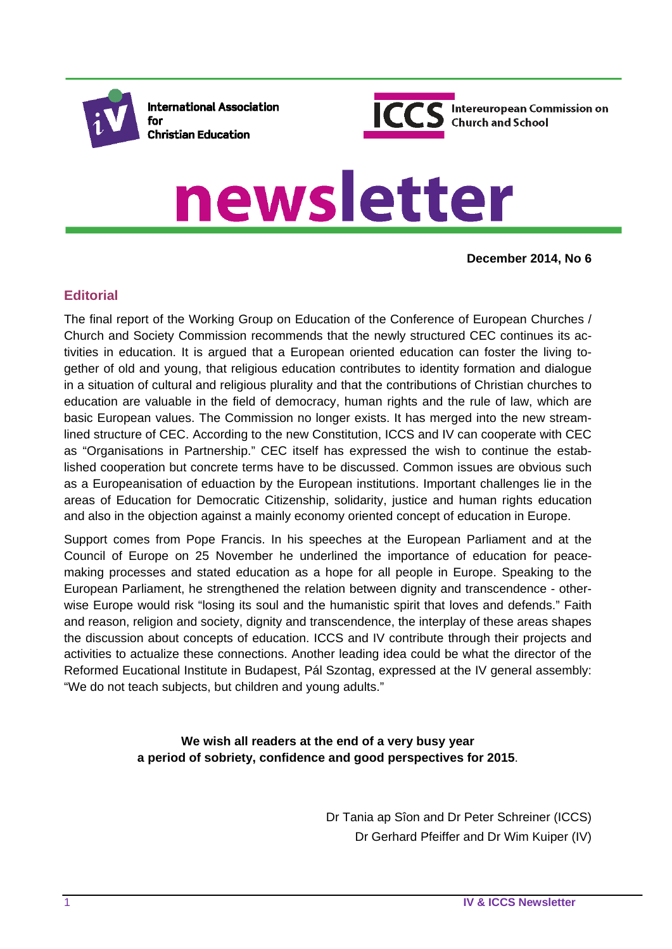

**International Association** for **Christian Education** 



# newsletter

**December 2014, No 6**

#### **Editorial**

The final report of the Working Group on Education of the Conference of European Churches / Church and Society Commission recommends that the newly structured CEC continues its activities in education. It is argued that a European oriented education can foster the living together of old and young, that religious education contributes to identity formation and dialogue in a situation of cultural and religious plurality and that the contributions of Christian churches to education are valuable in the field of democracy, human rights and the rule of law, which are basic European values. The Commission no longer exists. It has merged into the new streamlined structure of CEC. According to the new Constitution, ICCS and IV can cooperate with CEC as "Organisations in Partnership." CEC itself has expressed the wish to continue the established cooperation but concrete terms have to be discussed. Common issues are obvious such as a Europeanisation of eduaction by the European institutions. Important challenges lie in the areas of Education for Democratic Citizenship, solidarity, justice and human rights education and also in the objection against a mainly economy oriented concept of education in Europe.

Support comes from Pope Francis. In his speeches at the European Parliament and at the Council of Europe on 25 November he underlined the importance of education for peacemaking processes and stated education as a hope for all people in Europe. Speaking to the European Parliament, he strengthened the relation between dignity and transcendence - otherwise Europe would risk "losing its soul and the humanistic spirit that loves and defends." Faith and reason, religion and society, dignity and transcendence, the interplay of these areas shapes the discussion about concepts of education. ICCS and IV contribute through their projects and activities to actualize these connections. Another leading idea could be what the director of the Reformed Eucational Institute in Budapest, Pál Szontag, expressed at the IV general assembly: "We do not teach subjects, but children and young adults."

> **We wish all readers at the end of a very busy year a period of sobriety, confidence and good perspectives for 2015**.

> > Dr Tania ap Sîon and Dr Peter Schreiner (ICCS) Dr Gerhard Pfeiffer and Dr Wim Kuiper (IV)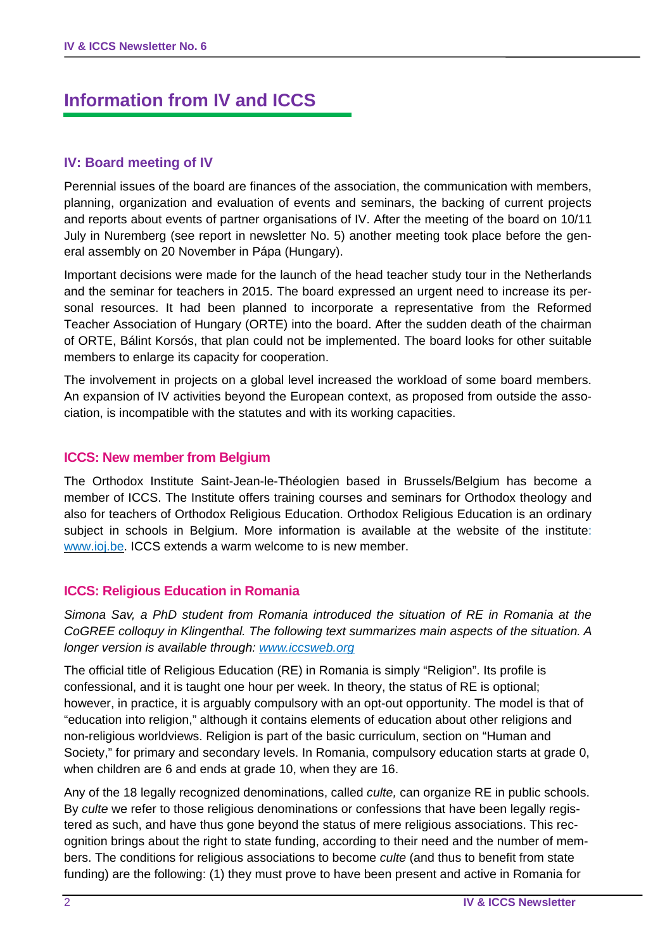## **Information from IV and ICCS**

#### **IV: Board meeting of IV**

Perennial issues of the board are finances of the association, the communication with members, planning, organization and evaluation of events and seminars, the backing of current projects and reports about events of partner organisations of IV. After the meeting of the board on 10/11 July in Nuremberg (see report in newsletter No. 5) another meeting took place before the general assembly on 20 November in Pápa (Hungary).

Important decisions were made for the launch of the head teacher study tour in the Netherlands and the seminar for teachers in 2015. The board expressed an urgent need to increase its personal resources. It had been planned to incorporate a representative from the Reformed Teacher Association of Hungary (ORTE) into the board. After the sudden death of the chairman of ORTE, Bálint Korsós, that plan could not be implemented. The board looks for other suitable members to enlarge its capacity for cooperation.

The involvement in projects on a global level increased the workload of some board members. An expansion of IV activities beyond the European context, as proposed from outside the association, is incompatible with the statutes and with its working capacities.

#### **ICCS: New member from Belgium**

The Orthodox Institute Saint-Jean-le-Théologien based in Brussels/Belgium has become a member of ICCS. The Institute offers training courses and seminars for Orthodox theology and also for teachers of Orthodox Religious Education. Orthodox Religious Education is an ordinary subject in schools in Belgium. More information is available at the website of the institute: www.ioj.be. ICCS extends a warm welcome to is new member.

#### **ICCS: Religious Education in Romania**

*Simona Sav, a PhD student from Romania introduced the situation of RE in Romania at the CoGREE colloquy in Klingenthal. The following text summarizes main aspects of the situation. A longer version is available through: www.iccsweb.org*

The official title of Religious Education (RE) in Romania is simply "Religion". Its profile is confessional, and it is taught one hour per week. In theory, the status of RE is optional; however, in practice, it is arguably compulsory with an opt-out opportunity. The model is that of "education into religion," although it contains elements of education about other religions and non-religious worldviews. Religion is part of the basic curriculum, section on "Human and Society," for primary and secondary levels. In Romania, compulsory education starts at grade 0, when children are 6 and ends at grade 10, when they are 16.

Any of the 18 legally recognized denominations, called *culte,* can organize RE in public schools. By *culte* we refer to those religious denominations or confessions that have been legally registered as such, and have thus gone beyond the status of mere religious associations. This recognition brings about the right to state funding, according to their need and the number of members. The conditions for religious associations to become *culte* (and thus to benefit from state funding) are the following: (1) they must prove to have been present and active in Romania for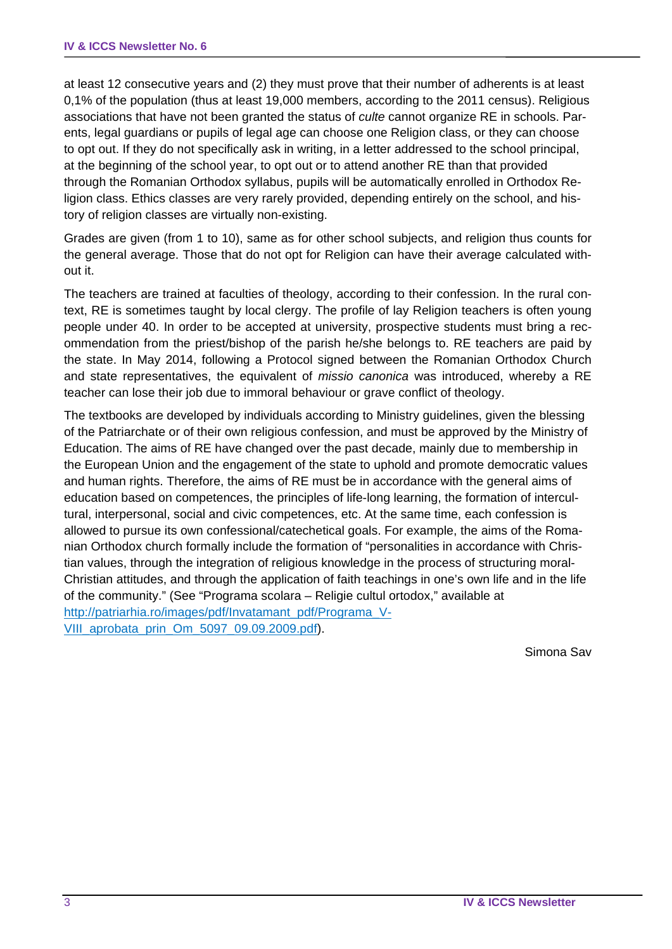at least 12 consecutive years and (2) they must prove that their number of adherents is at least 0,1% of the population (thus at least 19,000 members, according to the 2011 census). Religious associations that have not been granted the status of *culte* cannot organize RE in schools. Parents, legal guardians or pupils of legal age can choose one Religion class, or they can choose to opt out. If they do not specifically ask in writing, in a letter addressed to the school principal, at the beginning of the school year, to opt out or to attend another RE than that provided through the Romanian Orthodox syllabus, pupils will be automatically enrolled in Orthodox Religion class. Ethics classes are very rarely provided, depending entirely on the school, and history of religion classes are virtually non-existing.

Grades are given (from 1 to 10), same as for other school subjects, and religion thus counts for the general average. Those that do not opt for Religion can have their average calculated without it.

The teachers are trained at faculties of theology, according to their confession. In the rural context, RE is sometimes taught by local clergy. The profile of lay Religion teachers is often young people under 40. In order to be accepted at university, prospective students must bring a recommendation from the priest/bishop of the parish he/she belongs to. RE teachers are paid by the state. In May 2014, following a Protocol signed between the Romanian Orthodox Church and state representatives, the equivalent of *missio canonica* was introduced, whereby a RE teacher can lose their job due to immoral behaviour or grave conflict of theology.

The textbooks are developed by individuals according to Ministry guidelines, given the blessing of the Patriarchate or of their own religious confession, and must be approved by the Ministry of Education. The aims of RE have changed over the past decade, mainly due to membership in the European Union and the engagement of the state to uphold and promote democratic values and human rights. Therefore, the aims of RE must be in accordance with the general aims of education based on competences, the principles of life-long learning, the formation of intercultural, interpersonal, social and civic competences, etc. At the same time, each confession is allowed to pursue its own confessional/catechetical goals. For example, the aims of the Romanian Orthodox church formally include the formation of "personalities in accordance with Christian values, through the integration of religious knowledge in the process of structuring moral-Christian attitudes, and through the application of faith teachings in one's own life and in the life of the community." (See "Programa scolara – Religie cultul ortodox," available at http://patriarhia.ro/images/pdf/Invatamant\_pdf/Programa\_V-VIII\_aprobata\_prin\_Om\_5097\_09.09.2009.pdf).

Simona Sav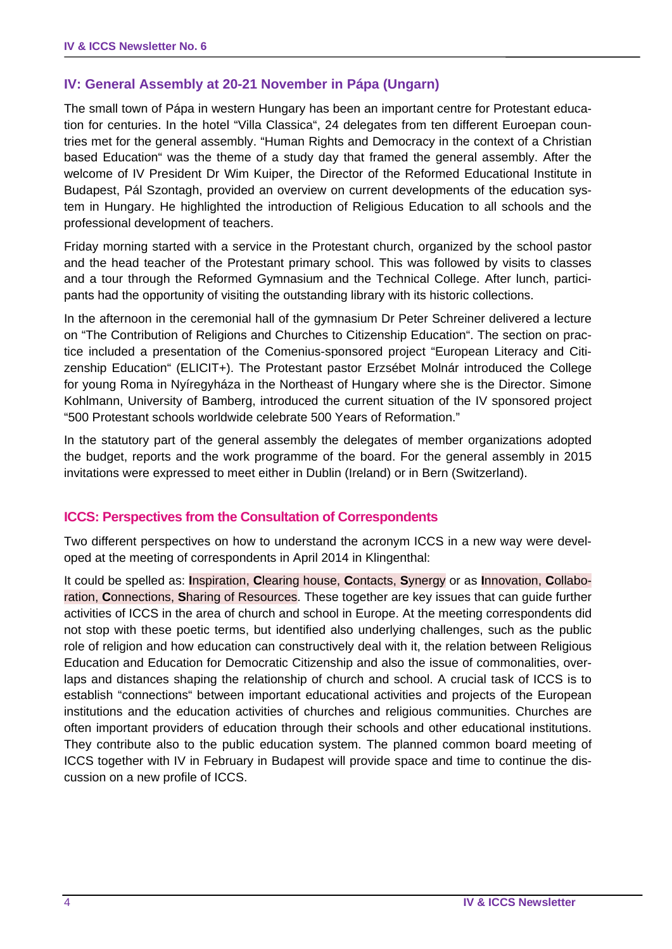#### **IV: General Assembly at 20-21 November in Pápa (Ungarn)**

The small town of Pápa in western Hungary has been an important centre for Protestant education for centuries. In the hotel "Villa Classica", 24 delegates from ten different Euroepan countries met for the general assembly. "Human Rights and Democracy in the context of a Christian based Education" was the theme of a study day that framed the general assembly. After the welcome of IV President Dr Wim Kuiper, the Director of the Reformed Educational Institute in Budapest, Pál Szontagh, provided an overview on current developments of the education system in Hungary. He highlighted the introduction of Religious Education to all schools and the professional development of teachers.

Friday morning started with a service in the Protestant church, organized by the school pastor and the head teacher of the Protestant primary school. This was followed by visits to classes and a tour through the Reformed Gymnasium and the Technical College. After lunch, participants had the opportunity of visiting the outstanding library with its historic collections.

In the afternoon in the ceremonial hall of the gymnasium Dr Peter Schreiner delivered a lecture on "The Contribution of Religions and Churches to Citizenship Education". The section on practice included a presentation of the Comenius-sponsored project "European Literacy and Citizenship Education" (ELICIT+). The Protestant pastor Erzsébet Molnár introduced the College for young Roma in Nyíregyháza in the Northeast of Hungary where she is the Director. Simone Kohlmann, University of Bamberg, introduced the current situation of the IV sponsored project "500 Protestant schools worldwide celebrate 500 Years of Reformation."

In the statutory part of the general assembly the delegates of member organizations adopted the budget, reports and the work programme of the board. For the general assembly in 2015 invitations were expressed to meet either in Dublin (Ireland) or in Bern (Switzerland).

#### **ICCS: Perspectives from the Consultation of Correspondents**

Two different perspectives on how to understand the acronym ICCS in a new way were developed at the meeting of correspondents in April 2014 in Klingenthal:

It could be spelled as: **I**nspiration, **C**learing house, **C**ontacts, **S**ynergy or as **I**nnovation, **C**ollaboration, **C**onnections, **S**haring of Resources. These together are key issues that can guide further activities of ICCS in the area of church and school in Europe. At the meeting correspondents did not stop with these poetic terms, but identified also underlying challenges, such as the public role of religion and how education can constructively deal with it, the relation between Religious Education and Education for Democratic Citizenship and also the issue of commonalities, overlaps and distances shaping the relationship of church and school. A crucial task of ICCS is to establish "connections" between important educational activities and projects of the European institutions and the education activities of churches and religious communities. Churches are often important providers of education through their schools and other educational institutions. They contribute also to the public education system. The planned common board meeting of ICCS together with IV in February in Budapest will provide space and time to continue the discussion on a new profile of ICCS.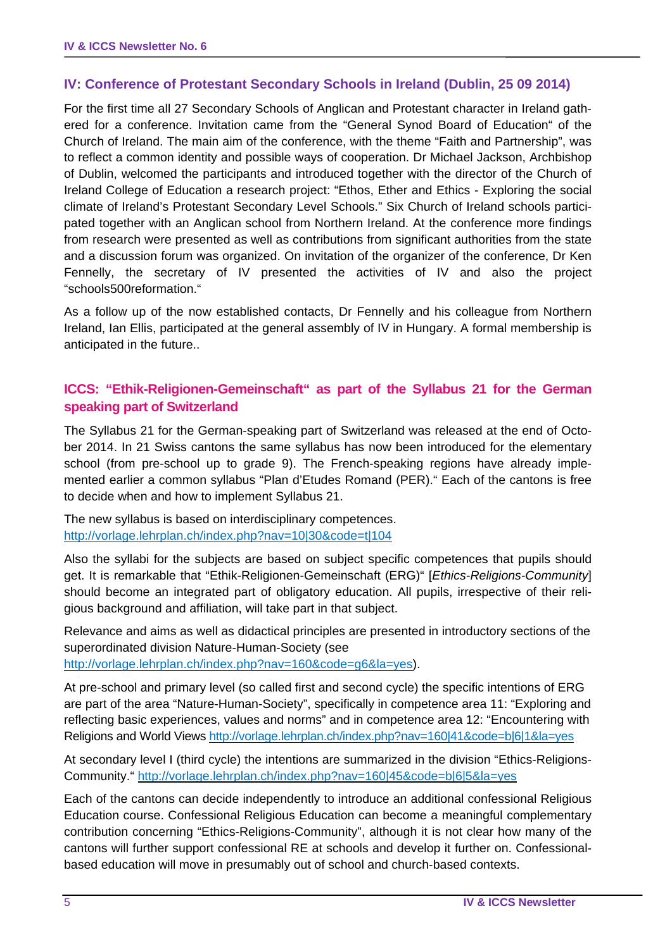#### **IV: Conference of Protestant Secondary Schools in Ireland (Dublin, 25 09 2014)**

For the first time all 27 Secondary Schools of Anglican and Protestant character in Ireland gathered for a conference. Invitation came from the "General Synod Board of Education" of the Church of Ireland. The main aim of the conference, with the theme "Faith and Partnership", was to reflect a common identity and possible ways of cooperation. Dr Michael Jackson, Archbishop of Dublin, welcomed the participants and introduced together with the director of the Church of Ireland College of Education a research project: "Ethos, Ether and Ethics - Exploring the social climate of Ireland's Protestant Secondary Level Schools." Six Church of Ireland schools participated together with an Anglican school from Northern Ireland. At the conference more findings from research were presented as well as contributions from significant authorities from the state and a discussion forum was organized. On invitation of the organizer of the conference, Dr Ken Fennelly, the secretary of IV presented the activities of IV and also the project "schools500reformation."

As a follow up of the now established contacts, Dr Fennelly and his colleague from Northern Ireland, Ian Ellis, participated at the general assembly of IV in Hungary. A formal membership is anticipated in the future..

#### **ICCS: "Ethik-Religionen-Gemeinschaft" as part of the Syllabus 21 for the German speaking part of Switzerland**

The Syllabus 21 for the German-speaking part of Switzerland was released at the end of October 2014. In 21 Swiss cantons the same syllabus has now been introduced for the elementary school (from pre-school up to grade 9). The French-speaking regions have already implemented earlier a common syllabus "Plan d'Etudes Romand (PER)." Each of the cantons is free to decide when and how to implement Syllabus 21.

The new syllabus is based on interdisciplinary competences. http://vorlage.lehrplan.ch/index.php?nav=10|30&code=t|104

Also the syllabi for the subjects are based on subject specific competences that pupils should get. It is remarkable that "Ethik-Religionen-Gemeinschaft (ERG)" [*Ethics-Religions-Community*] should become an integrated part of obligatory education. All pupils, irrespective of their religious background and affiliation, will take part in that subject.

Relevance and aims as well as didactical principles are presented in introductory sections of the superordinated division Nature-Human-Society (see

http://vorlage.lehrplan.ch/index.php?nav=160&code=g6&la=yes).

At pre-school and primary level (so called first and second cycle) the specific intentions of ERG are part of the area "Nature-Human-Society", specifically in competence area 11: "Exploring and reflecting basic experiences, values and norms" and in competence area 12: "Encountering with Religions and World Views http://vorlage.lehrplan.ch/index.php?nav=160|41&code=b|6|1&la=yes

At secondary level I (third cycle) the intentions are summarized in the division "Ethics-Religions-Community." http://vorlage.lehrplan.ch/index.php?nav=160|45&code=b|6|5&la=yes

Each of the cantons can decide independently to introduce an additional confessional Religious Education course. Confessional Religious Education can become a meaningful complementary contribution concerning "Ethics-Religions-Community", although it is not clear how many of the cantons will further support confessional RE at schools and develop it further on. Confessionalbased education will move in presumably out of school and church-based contexts.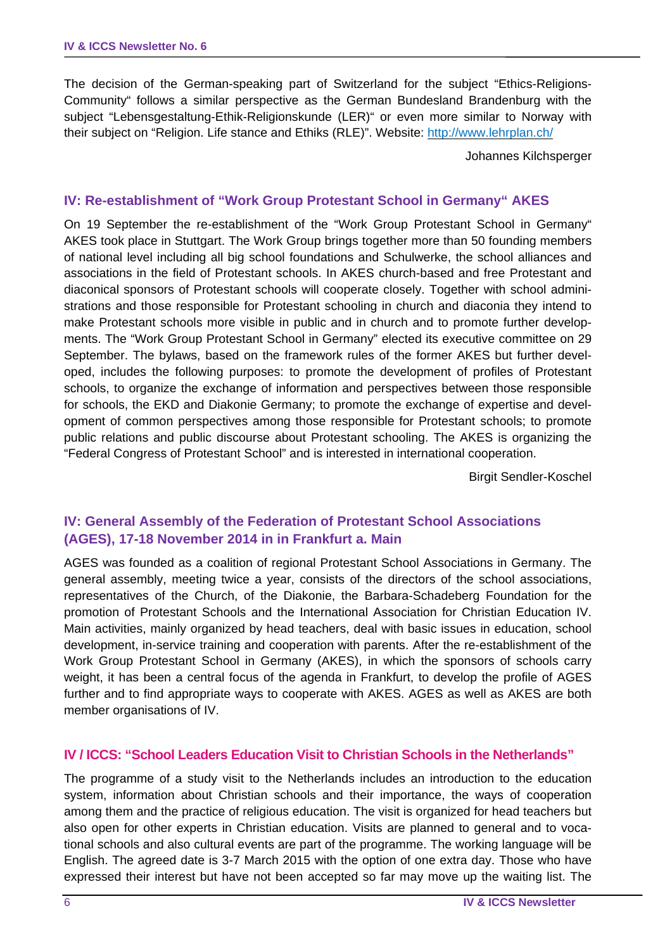The decision of the German-speaking part of Switzerland for the subject "Ethics-Religions-Community" follows a similar perspective as the German Bundesland Brandenburg with the subject "Lebensgestaltung-Ethik-Religionskunde (LER)" or even more similar to Norway with their subject on "Religion. Life stance and Ethiks (RLE)". Website: http://www.lehrplan.ch/

Johannes Kilchsperger

#### **IV: Re-establishment of "Work Group Protestant School in Germany" AKES**

On 19 September the re-establishment of the "Work Group Protestant School in Germany" AKES took place in Stuttgart. The Work Group brings together more than 50 founding members of national level including all big school foundations and Schulwerke, the school alliances and associations in the field of Protestant schools. In AKES church-based and free Protestant and diaconical sponsors of Protestant schools will cooperate closely. Together with school administrations and those responsible for Protestant schooling in church and diaconia they intend to make Protestant schools more visible in public and in church and to promote further developments. The "Work Group Protestant School in Germany" elected its executive committee on 29 September. The bylaws, based on the framework rules of the former AKES but further developed, includes the following purposes: to promote the development of profiles of Protestant schools, to organize the exchange of information and perspectives between those responsible for schools, the EKD and Diakonie Germany; to promote the exchange of expertise and development of common perspectives among those responsible for Protestant schools; to promote public relations and public discourse about Protestant schooling. The AKES is organizing the "Federal Congress of Protestant School" and is interested in international cooperation.

Birgit Sendler-Koschel

#### **IV: General Assembly of the Federation of Protestant School Associations (AGES), 17-18 November 2014 in in Frankfurt a. Main**

AGES was founded as a coalition of regional Protestant School Associations in Germany. The general assembly, meeting twice a year, consists of the directors of the school associations, representatives of the Church, of the Diakonie, the Barbara-Schadeberg Foundation for the promotion of Protestant Schools and the International Association for Christian Education IV. Main activities, mainly organized by head teachers, deal with basic issues in education, school development, in-service training and cooperation with parents. After the re-establishment of the Work Group Protestant School in Germany (AKES), in which the sponsors of schools carry weight, it has been a central focus of the agenda in Frankfurt, to develop the profile of AGES further and to find appropriate ways to cooperate with AKES. AGES as well as AKES are both member organisations of IV.

#### **IV / ICCS: "School Leaders Education Visit to Christian Schools in the Netherlands"**

The programme of a study visit to the Netherlands includes an introduction to the education system, information about Christian schools and their importance, the ways of cooperation among them and the practice of religious education. The visit is organized for head teachers but also open for other experts in Christian education. Visits are planned to general and to vocational schools and also cultural events are part of the programme. The working language will be English. The agreed date is 3-7 March 2015 with the option of one extra day. Those who have expressed their interest but have not been accepted so far may move up the waiting list. The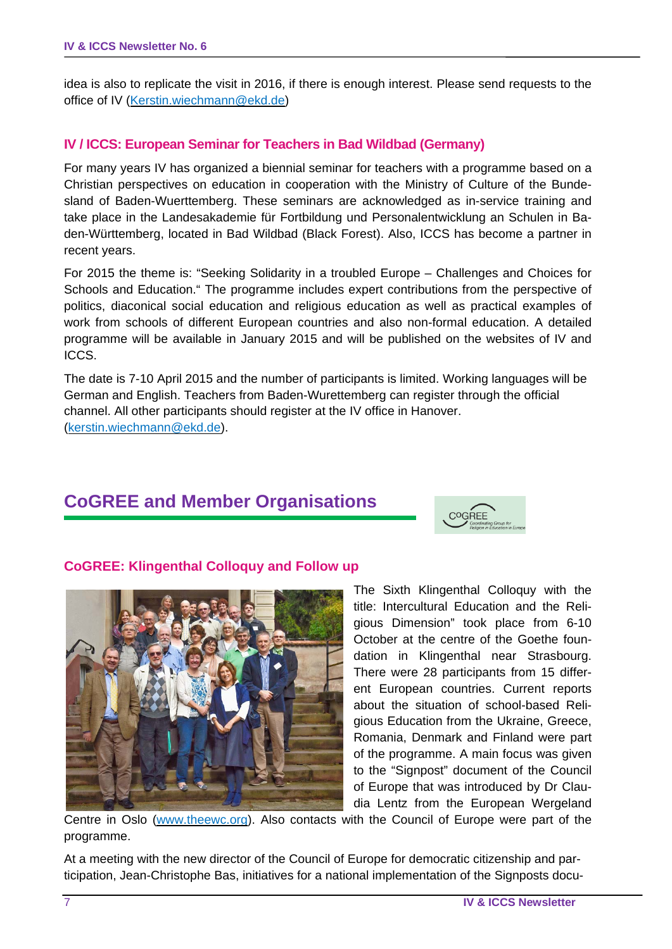idea is also to replicate the visit in 2016, if there is enough interest. Please send requests to the office of IV (Kerstin.wiechmann@ekd.de)

#### **IV / ICCS: European Seminar for Teachers in Bad Wildbad (Germany)**

For many years IV has organized a biennial seminar for teachers with a programme based on a Christian perspectives on education in cooperation with the Ministry of Culture of the Bundesland of Baden-Wuerttemberg. These seminars are acknowledged as in-service training and take place in the Landesakademie für Fortbildung und Personalentwicklung an Schulen in Baden-Württemberg, located in Bad Wildbad (Black Forest). Also, ICCS has become a partner in recent years.

For 2015 the theme is: "Seeking Solidarity in a troubled Europe – Challenges and Choices for Schools and Education." The programme includes expert contributions from the perspective of politics, diaconical social education and religious education as well as practical examples of work from schools of different European countries and also non-formal education. A detailed programme will be available in January 2015 and will be published on the websites of IV and ICCS.

The date is 7-10 April 2015 and the number of participants is limited. Working languages will be German and English. Teachers from Baden-Wurettemberg can register through the official channel. All other participants should register at the IV office in Hanover. (kerstin.wiechmann@ekd.de).

### **CoGREE and Member Organisations**



#### **CoGREE: Klingenthal Colloquy and Follow up**



The Sixth Klingenthal Colloquy with the title: Intercultural Education and the Religious Dimension" took place from 6-10 October at the centre of the Goethe foundation in Klingenthal near Strasbourg. There were 28 participants from 15 different European countries. Current reports about the situation of school-based Religious Education from the Ukraine, Greece, Romania, Denmark and Finland were part of the programme. A main focus was given to the "Signpost" document of the Council of Europe that was introduced by Dr Claudia Lentz from the European Wergeland

Centre in Oslo (www.theewc.org). Also contacts with the Council of Europe were part of the programme.

At a meeting with the new director of the Council of Europe for democratic citizenship and participation, Jean-Christophe Bas, initiatives for a national implementation of the Signposts docu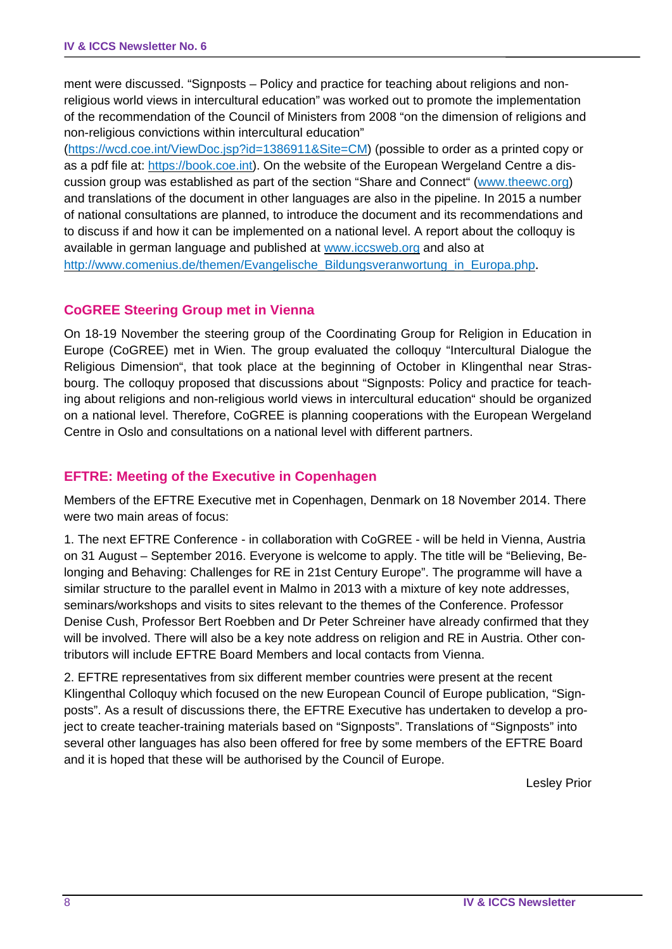ment were discussed. "Signposts – Policy and practice for teaching about religions and nonreligious world views in intercultural education" was worked out to promote the implementation of the recommendation of the Council of Ministers from 2008 "on the dimension of religions and non-religious convictions within intercultural education"

(https://wcd.coe.int/ViewDoc.jsp?id=1386911&Site=CM) (possible to order as a printed copy or as a pdf file at: https://book.coe.int). On the website of the European Wergeland Centre a discussion group was established as part of the section "Share and Connect" (www.theewc.org) and translations of the document in other languages are also in the pipeline. In 2015 a number of national consultations are planned, to introduce the document and its recommendations and to discuss if and how it can be implemented on a national level. A report about the colloquy is available in german language and published at www.iccsweb.org and also at http://www.comenius.de/themen/Evangelische\_Bildungsveranwortung\_in\_Europa.php.

#### **CoGREE Steering Group met in Vienna**

On 18-19 November the steering group of the Coordinating Group for Religion in Education in Europe (CoGREE) met in Wien. The group evaluated the colloquy "Intercultural Dialogue the Religious Dimension", that took place at the beginning of October in Klingenthal near Strasbourg. The colloquy proposed that discussions about "Signposts: Policy and practice for teaching about religions and non-religious world views in intercultural education" should be organized on a national level. Therefore, CoGREE is planning cooperations with the European Wergeland Centre in Oslo and consultations on a national level with different partners.

#### **EFTRE: Meeting of the Executive in Copenhagen**

Members of the EFTRE Executive met in Copenhagen, Denmark on 18 November 2014. There were two main areas of focus:

1. The next EFTRE Conference - in collaboration with CoGREE - will be held in Vienna, Austria on 31 August – September 2016. Everyone is welcome to apply. The title will be "Believing, Belonging and Behaving: Challenges for RE in 21st Century Europe". The programme will have a similar structure to the parallel event in Malmo in 2013 with a mixture of key note addresses, seminars/workshops and visits to sites relevant to the themes of the Conference. Professor Denise Cush, Professor Bert Roebben and Dr Peter Schreiner have already confirmed that they will be involved. There will also be a key note address on religion and RE in Austria. Other contributors will include EFTRE Board Members and local contacts from Vienna.

2. EFTRE representatives from six different member countries were present at the recent Klingenthal Colloquy which focused on the new European Council of Europe publication, "Signposts". As a result of discussions there, the EFTRE Executive has undertaken to develop a project to create teacher-training materials based on "Signposts". Translations of "Signposts" into several other languages has also been offered for free by some members of the EFTRE Board and it is hoped that these will be authorised by the Council of Europe.

Lesley Prior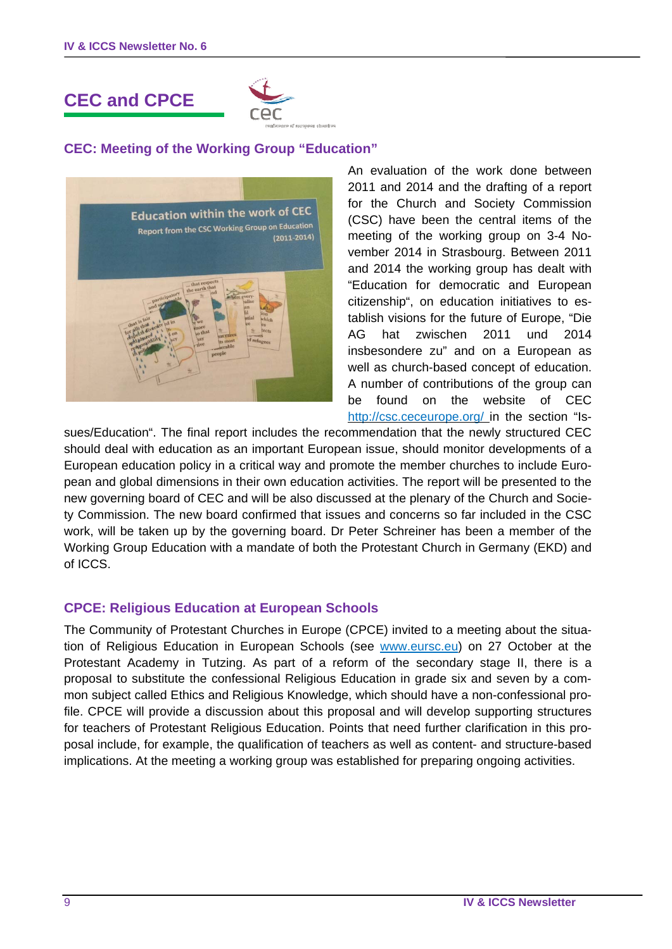# **CEC and CPCE**



#### **CEC: Meeting of the Working Group "Education"**



An evaluation of the work done between 2011 and 2014 and the drafting of a report for the Church and Society Commission (CSC) have been the central items of the meeting of the working group on 3-4 November 2014 in Strasbourg. Between 2011 and 2014 the working group has dealt with "Education for democratic and European citizenship", on education initiatives to establish visions for the future of Europe, "Die AG hat zwischen 2011 und 2014 insbesondere zu" and on a European as well as church-based concept of education. A number of contributions of the group can be found on the website of CEC http://csc.ceceurope.org/ in the section "Is-

sues/Education". The final report includes the recommendation that the newly structured CEC should deal with education as an important European issue, should monitor developments of a European education policy in a critical way and promote the member churches to include European and global dimensions in their own education activities. The report will be presented to the new governing board of CEC and will be also discussed at the plenary of the Church and Society Commission. The new board confirmed that issues and concerns so far included in the CSC work, will be taken up by the governing board. Dr Peter Schreiner has been a member of the Working Group Education with a mandate of both the Protestant Church in Germany (EKD) and of ICCS.

#### **CPCE: Religious Education at European Schools**

The Community of Protestant Churches in Europe (CPCE) invited to a meeting about the situation of Religious Education in European Schools (see www.eursc.eu) on 27 October at the Protestant Academy in Tutzing. As part of a reform of the secondary stage II, there is a proposaI to substitute the confessional Religious Education in grade six and seven by a common subject called Ethics and Religious Knowledge, which should have a non-confessional profile. CPCE will provide a discussion about this proposal and will develop supporting structures for teachers of Protestant Religious Education. Points that need further clarification in this proposal include, for example, the qualification of teachers as well as content- and structure-based implications. At the meeting a working group was established for preparing ongoing activities.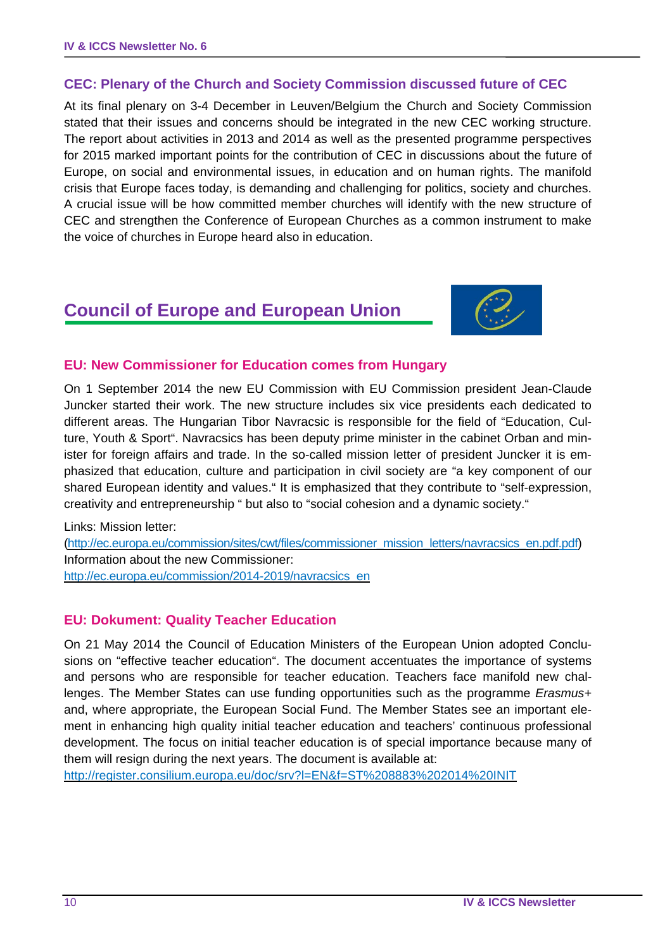#### **CEC: Plenary of the Church and Society Commission discussed future of CEC**

At its final plenary on 3-4 December in Leuven/Belgium the Church and Society Commission stated that their issues and concerns should be integrated in the new CEC working structure. The report about activities in 2013 and 2014 as well as the presented programme perspectives for 2015 marked important points for the contribution of CEC in discussions about the future of Europe, on social and environmental issues, in education and on human rights. The manifold crisis that Europe faces today, is demanding and challenging for politics, society and churches. A crucial issue will be how committed member churches will identify with the new structure of CEC and strengthen the Conference of European Churches as a common instrument to make the voice of churches in Europe heard also in education.

## **Council of Europe and European Union**



#### **EU: New Commissioner for Education comes from Hungary**

On 1 September 2014 the new EU Commission with EU Commission president Jean-Claude Juncker started their work. The new structure includes six vice presidents each dedicated to different areas. The Hungarian Tibor Navracsic is responsible for the field of "Education, Culture, Youth & Sport". Navracsics has been deputy prime minister in the cabinet Orban and minister for foreign affairs and trade. In the so-called mission letter of president Juncker it is emphasized that education, culture and participation in civil society are "a key component of our shared European identity and values." It is emphasized that they contribute to "self-expression, creativity and entrepreneurship " but also to "social cohesion and a dynamic society."

Links: Mission letter:

(http://ec.europa.eu/commission/sites/cwt/files/commissioner\_mission\_letters/navracsics\_en.pdf.pdf) Information about the new Commissioner: http://ec.europa.eu/commission/2014-2019/navracsics\_en

#### **EU: Dokument: Quality Teacher Education**

On 21 May 2014 the Council of Education Ministers of the European Union adopted Conclusions on "effective teacher education". The document accentuates the importance of systems and persons who are responsible for teacher education. Teachers face manifold new challenges. The Member States can use funding opportunities such as the programme *Erasmus+* and, where appropriate, the European Social Fund. The Member States see an important element in enhancing high quality initial teacher education and teachers' continuous professional development. The focus on initial teacher education is of special importance because many of them will resign during the next years. The document is available at:

http://register.consilium.europa.eu/doc/srv?l=EN&f=ST%208883%202014%20INIT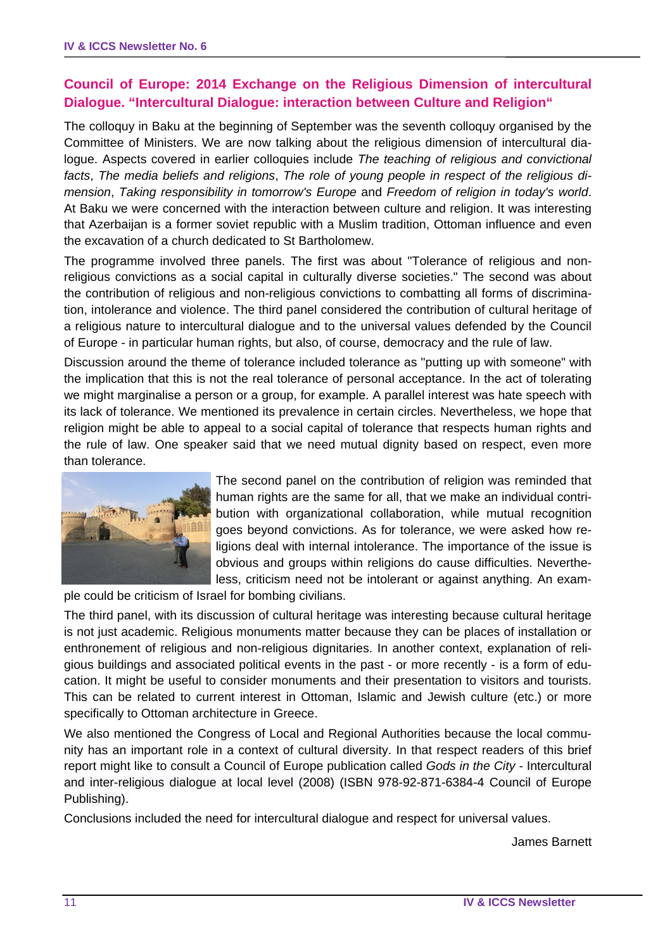#### **Council of Europe: 2014 Exchange on the Religious Dimension of intercultural Dialogue. "Intercultural Dialogue: interaction between Culture and Religion"**

The colloquy in Baku at the beginning of September was the seventh colloquy organised by the Committee of Ministers. We are now talking about the religious dimension of intercultural dialogue. Aspects covered in earlier colloquies include *The teaching of religious and convictional facts*, *The media beliefs and religions*, *The role of young people in respect of the religious dimension*, *Taking responsibility in tomorrow's Europe* and *Freedom of religion in today's world*. At Baku we were concerned with the interaction between culture and religion. It was interesting that Azerbaijan is a former soviet republic with a Muslim tradition, Ottoman influence and even the excavation of a church dedicated to St Bartholomew.

The programme involved three panels. The first was about "Tolerance of religious and nonreligious convictions as a social capital in culturally diverse societies." The second was about the contribution of religious and non-religious convictions to combatting all forms of discrimination, intolerance and violence. The third panel considered the contribution of cultural heritage of a religious nature to intercultural dialogue and to the universal values defended by the Council of Europe - in particular human rights, but also, of course, democracy and the rule of law.

Discussion around the theme of tolerance included tolerance as "putting up with someone" with the implication that this is not the real tolerance of personal acceptance. In the act of tolerating we might marginalise a person or a group, for example. A parallel interest was hate speech with its lack of tolerance. We mentioned its prevalence in certain circles. Nevertheless, we hope that religion might be able to appeal to a social capital of tolerance that respects human rights and the rule of law. One speaker said that we need mutual dignity based on respect, even more than tolerance.



The second panel on the contribution of religion was reminded that human rights are the same for all, that we make an individual contribution with organizational collaboration, while mutual recognition goes beyond convictions. As for tolerance, we were asked how religions deal with internal intolerance. The importance of the issue is obvious and groups within religions do cause difficulties. Nevertheless, criticism need not be intolerant or against anything. An exam-

ple could be criticism of Israel for bombing civilians.

The third panel, with its discussion of cultural heritage was interesting because cultural heritage is not just academic. Religious monuments matter because they can be places of installation or enthronement of religious and non-religious dignitaries. In another context, explanation of religious buildings and associated political events in the past - or more recently - is a form of education. It might be useful to consider monuments and their presentation to visitors and tourists. This can be related to current interest in Ottoman, Islamic and Jewish culture (etc.) or more specifically to Ottoman architecture in Greece.

We also mentioned the Congress of Local and Regional Authorities because the local community has an important role in a context of cultural diversity. In that respect readers of this brief report might like to consult a Council of Europe publication called *Gods in the City* - Intercultural and inter-religious dialogue at local level (2008) (ISBN 978-92-871-6384-4 Council of Europe Publishing).

Conclusions included the need for intercultural dialogue and respect for universal values.

James Barnett